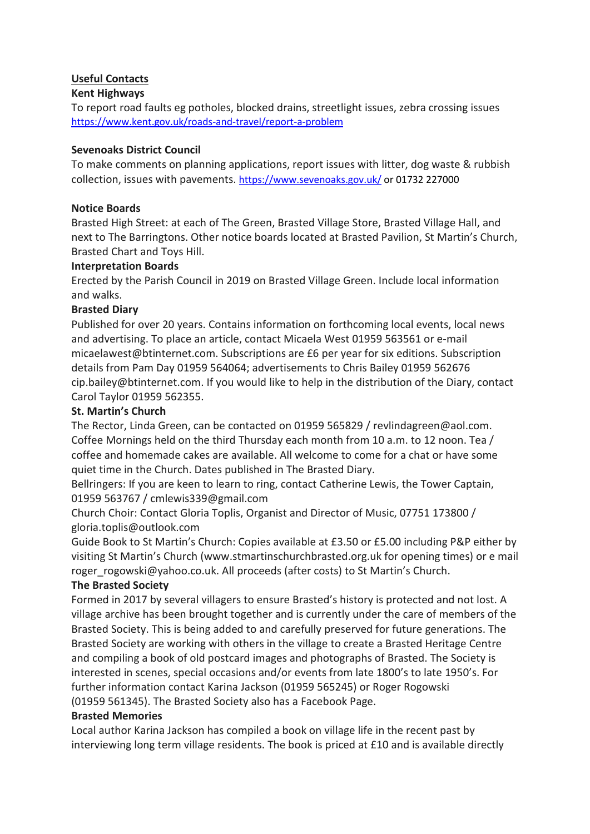# **Useful Contacts**

### **Kent Highways**

To report road faults eg potholes, blocked drains, streetlight issues, zebra crossing issues <https://www.kent.gov.uk/roads-and-travel/report-a-problem>

### **Sevenoaks District Council**

To make comments on planning applications, report issues with litter, dog waste & rubbish collection, issues with pavements.<https://www.sevenoaks.gov.uk/> or 01732 227000

### **Notice Boards**

Brasted High Street: at each of The Green, Brasted Village Store, Brasted Village Hall, and next to The Barringtons. Other notice boards located at Brasted Pavilion, St Martin's Church, Brasted Chart and Toys Hill.

### **Interpretation Boards**

Erected by the Parish Council in 2019 on Brasted Village Green. Include local information and walks.

### **Brasted Diary**

Published for over 20 years. Contains information on forthcoming local events, local news and advertising. To place an article, contact Micaela West 01959 563561 or e-mail micaelawest@btinternet.com. Subscriptions are £6 per year for six editions. Subscription details from Pam Day 01959 564064; advertisements to Chris Bailey 01959 562676 cip.bailey@btinternet.com. If you would like to help in the distribution of the Diary, contact Carol Taylor 01959 562355.

### **St. Martin's Church**

The Rector, Linda Green, can be contacted on 01959 565829 / revlindagreen@aol.com. Coffee Mornings held on the third Thursday each month from 10 a.m. to 12 noon. Tea / coffee and homemade cakes are available. All welcome to come for a chat or have some quiet time in the Church. Dates published in The Brasted Diary.

Bellringers: If you are keen to learn to ring, contact Catherine Lewis, the Tower Captain, 01959 563767 / cmlewis339@gmail.com

Church Choir: Contact Gloria Toplis, Organist and Director of Music, 07751 173800 / gloria.toplis@outlook.com

Guide Book to St Martin's Church: Copies available at £3.50 or £5.00 including P&P either by visiting St Martin's Church (www.stmartinschurchbrasted.org.uk for opening times) or e mail roger\_rogowski@yahoo.co.uk. All proceeds (after costs) to St Martin's Church.

#### **The Brasted Society**

Formed in 2017 by several villagers to ensure Brasted's history is protected and not lost. A village archive has been brought together and is currently under the care of members of the Brasted Society. This is being added to and carefully preserved for future generations. The Brasted Society are working with others in the village to create a Brasted Heritage Centre and compiling a book of old postcard images and photographs of Brasted. The Society is interested in scenes, special occasions and/or events from late 1800's to late 1950's. For further information contact Karina Jackson (01959 565245) or Roger Rogowski

# (01959 561345). The Brasted Society also has a Facebook Page.

### **Brasted Memories**

Local author Karina Jackson has compiled a book on village life in the recent past by interviewing long term village residents. The book is priced at £10 and is available directly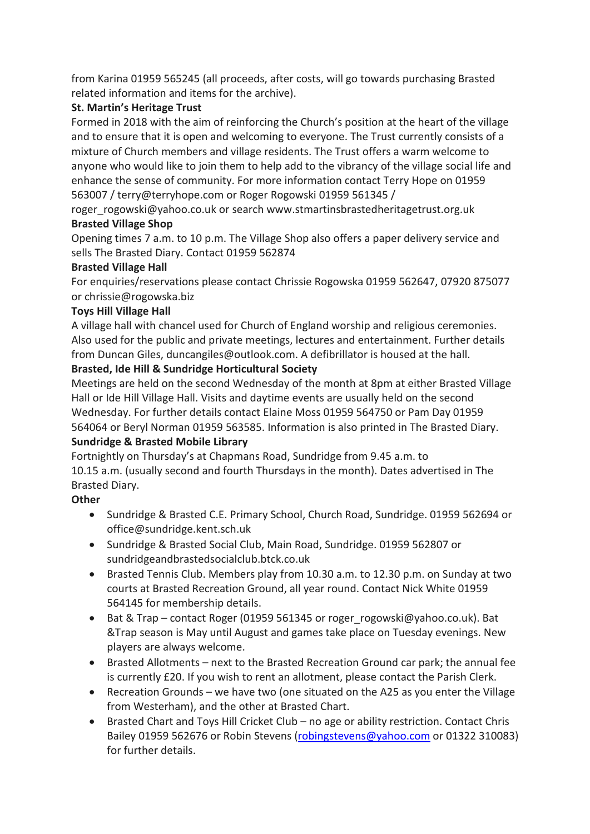from Karina 01959 565245 (all proceeds, after costs, will go towards purchasing Brasted related information and items for the archive).

# **St. Martin's Heritage Trust**

Formed in 2018 with the aim of reinforcing the Church's position at the heart of the village and to ensure that it is open and welcoming to everyone. The Trust currently consists of a mixture of Church members and village residents. The Trust offers a warm welcome to anyone who would like to join them to help add to the vibrancy of the village social life and enhance the sense of community. For more information contact Terry Hope on 01959 563007 / terry@terryhope.com or Roger Rogowski 01959 561345 /

roger\_rogowski@yahoo.co.uk or search www.stmartinsbrastedheritagetrust.org.uk **Brasted Village Shop**

Opening times 7 a.m. to 10 p.m. The Village Shop also offers a paper delivery service and sells The Brasted Diary. Contact 01959 562874

### **Brasted Village Hall**

For enquiries/reservations please contact Chrissie Rogowska 01959 562647, 07920 875077 or chrissie@rogowska.biz

# **Toys Hill Village Hall**

A village hall with chancel used for Church of England worship and religious ceremonies. Also used for the public and private meetings, lectures and entertainment. Further details from Duncan Giles, duncangiles@outlook.com. A defibrillator is housed at the hall.

# **Brasted, Ide Hill & Sundridge Horticultural Society**

Meetings are held on the second Wednesday of the month at 8pm at either Brasted Village Hall or Ide Hill Village Hall. Visits and daytime events are usually held on the second Wednesday. For further details contact Elaine Moss 01959 564750 or Pam Day 01959 564064 or Beryl Norman 01959 563585. Information is also printed in The Brasted Diary.

### **Sundridge & Brasted Mobile Library**

Fortnightly on Thursday's at Chapmans Road, Sundridge from 9.45 a.m. to 10.15 a.m. (usually second and fourth Thursdays in the month). Dates advertised in The Brasted Diary.

# **Other**

- Sundridge & Brasted C.E. Primary School, Church Road, Sundridge. 01959 562694 or office@sundridge.kent.sch.uk
- Sundridge & Brasted Social Club, Main Road, Sundridge. 01959 562807 or sundridgeandbrastedsocialclub.btck.co.uk
- Brasted Tennis Club. Members play from 10.30 a.m. to 12.30 p.m. on Sunday at two courts at Brasted Recreation Ground, all year round. Contact Nick White 01959 564145 for membership details.
- Bat & Trap contact Roger (01959 561345 or roger\_rogowski@yahoo.co.uk). Bat &Trap season is May until August and games take place on Tuesday evenings. New players are always welcome.
- Brasted Allotments next to the Brasted Recreation Ground car park; the annual fee is currently £20. If you wish to rent an allotment, please contact the Parish Clerk.
- Recreation Grounds we have two (one situated on the A25 as you enter the Village from Westerham), and the other at Brasted Chart.
- Brasted Chart and Toys Hill Cricket Club no age or ability restriction. Contact Chris Bailey 01959 562676 or Robin Stevens [\(robingstevens@yahoo.com](mailto:robingstevens@yahoo.com) or 01322 310083) for further details.